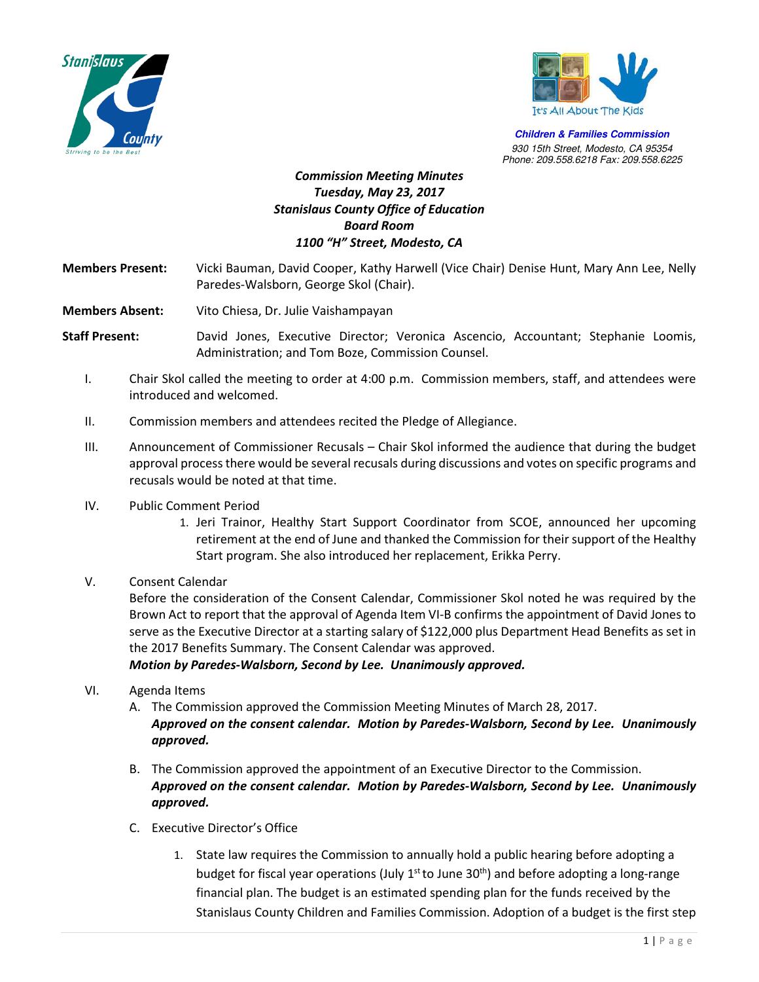



**Children & Families Commission**  *930 15th Street, Modesto, CA 95354 Phone: 209.558.6218 Fax: 209.558.6225*

# *Commission Meeting Minutes Tuesday, May 23, 2017 Stanislaus County Office of Education Board Room 1100 "H" Street, Modesto, CA*

**Members Present:** Vicki Bauman, David Cooper, Kathy Harwell (Vice Chair) Denise Hunt, Mary Ann Lee, Nelly Paredes-Walsborn, George Skol (Chair).

**Members Absent:** Vito Chiesa, Dr. Julie Vaishampayan

**Staff Present:** David Jones, Executive Director; Veronica Ascencio, Accountant; Stephanie Loomis, Administration; and Tom Boze, Commission Counsel.

- I. Chair Skol called the meeting to order at 4:00 p.m. Commission members, staff, and attendees were introduced and welcomed.
- II. Commission members and attendees recited the Pledge of Allegiance.
- III. Announcement of Commissioner Recusals Chair Skol informed the audience that during the budget approval process there would be several recusals during discussions and votes on specific programs and recusals would be noted at that time.

#### IV. Public Comment Period

1. Jeri Trainor, Healthy Start Support Coordinator from SCOE, announced her upcoming retirement at the end of June and thanked the Commission for their support of the Healthy Start program. She also introduced her replacement, Erikka Perry.

### V. Consent Calendar

Before the consideration of the Consent Calendar, Commissioner Skol noted he was required by the Brown Act to report that the approval of Agenda Item VI-B confirms the appointment of David Jones to serve as the Executive Director at a starting salary of \$122,000 plus Department Head Benefits as set in the 2017 Benefits Summary. The Consent Calendar was approved.

*Motion by Paredes-Walsborn, Second by Lee. Unanimously approved.* 

- VI. Agenda Items
	- A. The Commission approved the Commission Meeting Minutes of March 28, 2017. *Approved on the consent calendar. Motion by Paredes-Walsborn, Second by Lee. Unanimously approved.*
	- B. The Commission approved the appointment of an Executive Director to the Commission. *Approved on the consent calendar. Motion by Paredes-Walsborn, Second by Lee. Unanimously approved.*
	- C. Executive Director's Office
		- 1. State law requires the Commission to annually hold a public hearing before adopting a budget for fiscal year operations (July  $1<sup>st</sup>$  to June 30<sup>th</sup>) and before adopting a long-range financial plan. The budget is an estimated spending plan for the funds received by the Stanislaus County Children and Families Commission. Adoption of a budget is the first step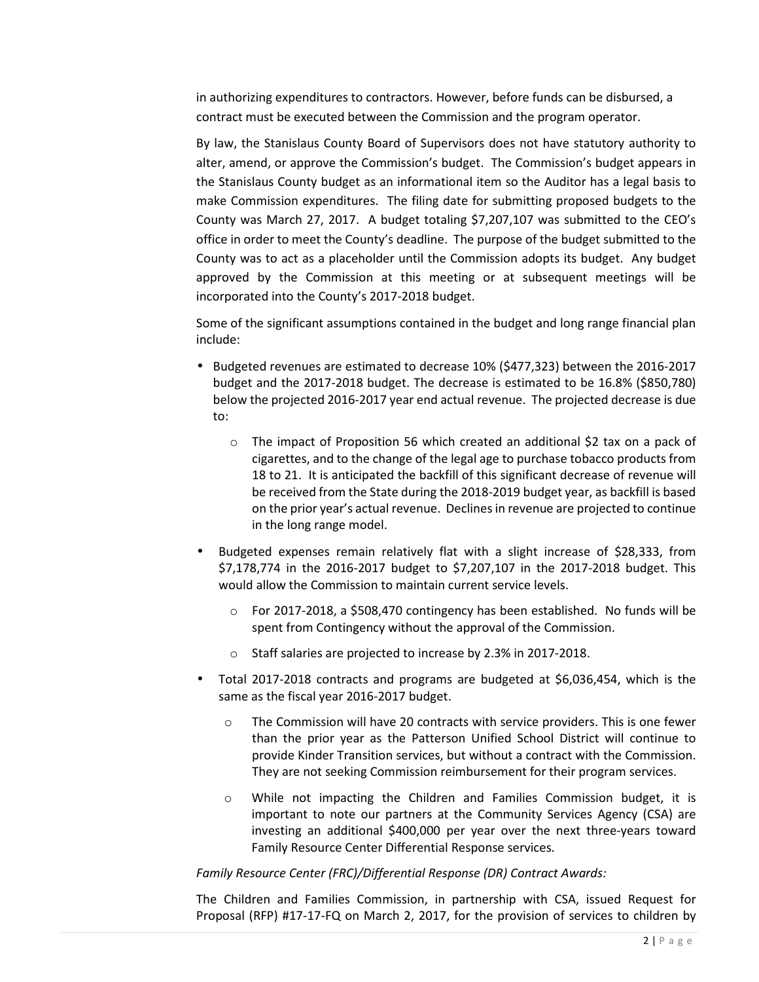in authorizing expenditures to contractors. However, before funds can be disbursed, a contract must be executed between the Commission and the program operator.

By law, the Stanislaus County Board of Supervisors does not have statutory authority to alter, amend, or approve the Commission's budget. The Commission's budget appears in the Stanislaus County budget as an informational item so the Auditor has a legal basis to make Commission expenditures. The filing date for submitting proposed budgets to the County was March 27, 2017. A budget totaling \$7,207,107 was submitted to the CEO's office in order to meet the County's deadline. The purpose of the budget submitted to the County was to act as a placeholder until the Commission adopts its budget. Any budget approved by the Commission at this meeting or at subsequent meetings will be incorporated into the County's 2017-2018 budget.

Some of the significant assumptions contained in the budget and long range financial plan include:

- Budgeted revenues are estimated to decrease 10% (\$477,323) between the 2016-2017 budget and the 2017-2018 budget. The decrease is estimated to be 16.8% (\$850,780) below the projected 2016-2017 year end actual revenue. The projected decrease is due to:
	- $\circ$  The impact of Proposition 56 which created an additional \$2 tax on a pack of cigarettes, and to the change of the legal age to purchase tobacco products from 18 to 21. It is anticipated the backfill of this significant decrease of revenue will be received from the State during the 2018-2019 budget year, as backfill is based on the prior year's actual revenue. Declines in revenue are projected to continue in the long range model.
- Budgeted expenses remain relatively flat with a slight increase of \$28,333, from \$7,178,774 in the 2016-2017 budget to \$7,207,107 in the 2017-2018 budget. This would allow the Commission to maintain current service levels.
	- $\circ$  For 2017-2018, a \$508,470 contingency has been established. No funds will be spent from Contingency without the approval of the Commission.
	- o Staff salaries are projected to increase by 2.3% in 2017-2018.
- Total 2017-2018 contracts and programs are budgeted at \$6,036,454, which is the same as the fiscal year 2016-2017 budget.
	- o The Commission will have 20 contracts with service providers. This is one fewer than the prior year as the Patterson Unified School District will continue to provide Kinder Transition services, but without a contract with the Commission. They are not seeking Commission reimbursement for their program services.
	- o While not impacting the Children and Families Commission budget, it is important to note our partners at the Community Services Agency (CSA) are investing an additional \$400,000 per year over the next three-years toward Family Resource Center Differential Response services.

*Family Resource Center (FRC)/Differential Response (DR) Contract Awards:* 

The Children and Families Commission, in partnership with CSA, issued Request for Proposal (RFP) #17-17-FQ on March 2, 2017, for the provision of services to children by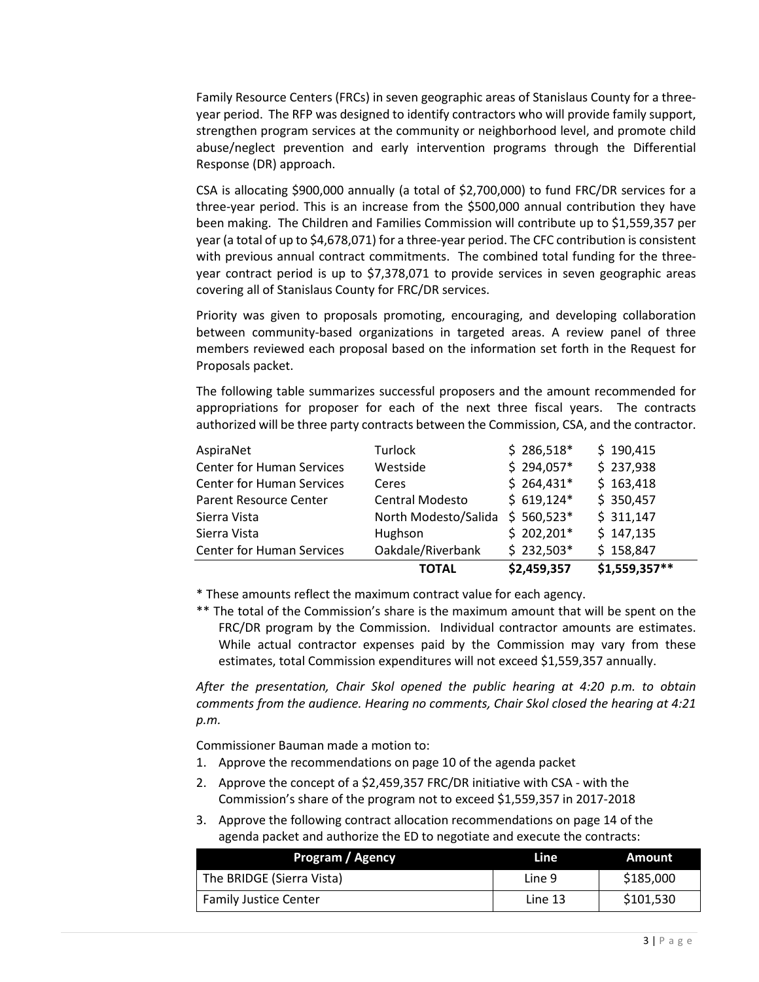Family Resource Centers (FRCs) in seven geographic areas of Stanislaus County for a threeyear period. The RFP was designed to identify contractors who will provide family support, strengthen program services at the community or neighborhood level, and promote child abuse/neglect prevention and early intervention programs through the Differential Response (DR) approach.

CSA is allocating \$900,000 annually (a total of \$2,700,000) to fund FRC/DR services for a three-year period. This is an increase from the \$500,000 annual contribution they have been making. The Children and Families Commission will contribute up to \$1,559,357 per year (a total of up to \$4,678,071) for a three-year period. The CFC contribution is consistent with previous annual contract commitments. The combined total funding for the threeyear contract period is up to \$7,378,071 to provide services in seven geographic areas covering all of Stanislaus County for FRC/DR services.

Priority was given to proposals promoting, encouraging, and developing collaboration between community-based organizations in targeted areas. A review panel of three members reviewed each proposal based on the information set forth in the Request for Proposals packet.

The following table summarizes successful proposers and the amount recommended for appropriations for proposer for each of the next three fiscal years. The contracts authorized will be three party contracts between the Commission, CSA, and the contractor.

|                                  | TOTAL                  | \$2,459,357 | $$1,559,357**$ |
|----------------------------------|------------------------|-------------|----------------|
| <b>Center for Human Services</b> | Oakdale/Riverbank      | $$232,503*$ | \$158,847      |
| Sierra Vista                     | Hughson                | $$202,201*$ | \$147,135      |
| Sierra Vista                     | North Modesto/Salida   | $$560,523*$ | \$311,147      |
| Parent Resource Center           | <b>Central Modesto</b> | $$619,124*$ | \$350,457      |
| <b>Center for Human Services</b> | Ceres                  | $$264,431*$ | \$163,418      |
| <b>Center for Human Services</b> | Westside               | $$294,057*$ | \$237,938      |
| AspiraNet                        | Turlock                | $$286,518*$ | \$190,415      |

\* These amounts reflect the maximum contract value for each agency.

\*\* The total of the Commission's share is the maximum amount that will be spent on the FRC/DR program by the Commission. Individual contractor amounts are estimates. While actual contractor expenses paid by the Commission may vary from these estimates, total Commission expenditures will not exceed \$1,559,357 annually.

*After the presentation, Chair Skol opened the public hearing at 4:20 p.m. to obtain comments from the audience. Hearing no comments, Chair Skol closed the hearing at 4:21 p.m.* 

Commissioner Bauman made a motion to:

- 1. Approve the recommendations on page 10 of the agenda packet
- 2. Approve the concept of a \$2,459,357 FRC/DR initiative with CSA with the Commission's share of the program not to exceed \$1,559,357 in 2017-2018
- 3. Approve the following contract allocation recommendations on page 14 of the agenda packet and authorize the ED to negotiate and execute the contracts:

| Program / Agency             | Line    | Amount    |
|------------------------------|---------|-----------|
| The BRIDGE (Sierra Vista)    | Line 9  | \$185,000 |
| <b>Family Justice Center</b> | Line 13 | \$101,530 |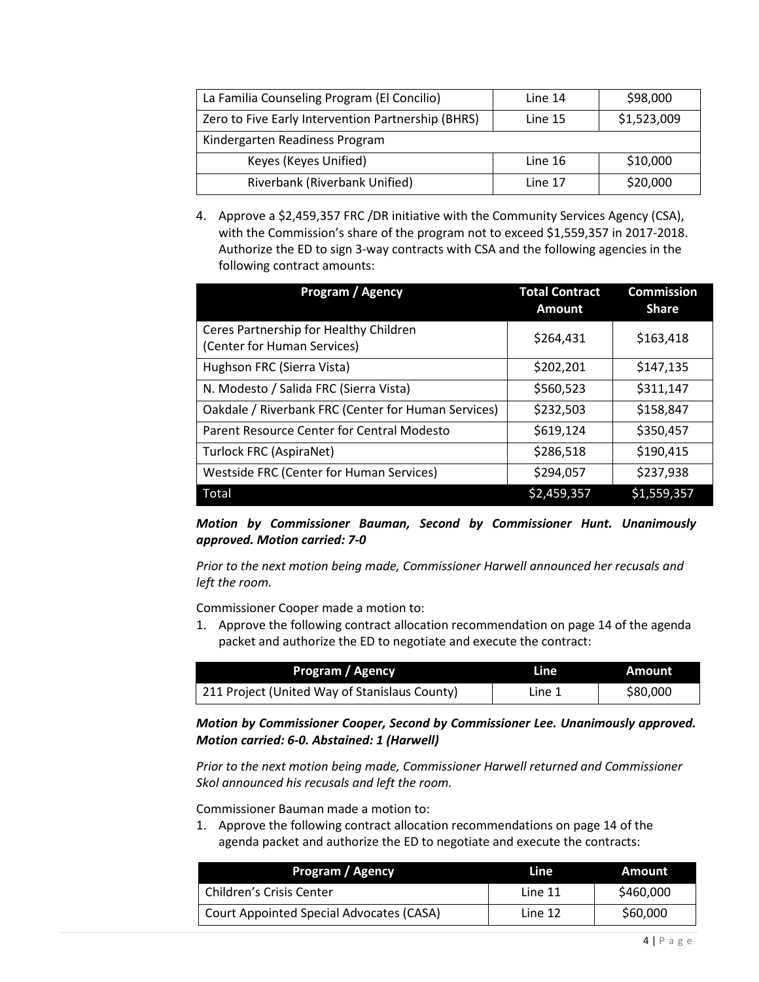| La Familia Counseling Program (El Concilio)        | Line 14 | \$98,000    |
|----------------------------------------------------|---------|-------------|
| Zero to Five Early Intervention Partnership (BHRS) | Line 15 | \$1,523,009 |
| Kindergarten Readiness Program                     |         |             |
| Keyes (Keyes Unified)                              | Line 16 | \$10,000    |
| Riverbank (Riverbank Unified)                      | Line 17 | \$20,000    |

4. Approve a \$2,459,357 FRC /DR initiative with the Community Services Agency (CSA), with the Commission's share of the program not to exceed \$1,559,357 in 2017-2018. Authorize the ED to sign 3-way contracts with CSA and the following agencies in the following contract amounts:

| Program / Agency                                                      | <b>Total Contract</b><br><b>Amount</b> | <b>Commission</b><br><b>Share</b> |
|-----------------------------------------------------------------------|----------------------------------------|-----------------------------------|
| Ceres Partnership for Healthy Children<br>(Center for Human Services) | \$264,431                              | \$163,418                         |
| Hughson FRC (Sierra Vista)                                            | \$202,201                              | \$147,135                         |
| N. Modesto / Salida FRC (Sierra Vista)                                | \$560,523                              | \$311,147                         |
| Oakdale / Riverbank FRC (Center for Human Services)                   | \$232,503                              | \$158,847                         |
| Parent Resource Center for Central Modesto                            | \$619,124                              | \$350,457                         |
| Turlock FRC (AspiraNet)                                               | \$286,518                              | \$190,415                         |
| Westside FRC (Center for Human Services)                              | \$294,057                              | \$237,938                         |
| Total                                                                 | \$2,459,357                            | \$1,559,357                       |

#### *Motion by Commissioner Bauman, Second by Commissioner Hunt. Unanimously approved. Motion carried: 7-0*

*Prior to the next motion being made, Commissioner Harwell announced her recusals and left the room.* 

Commissioner Cooper made a motion to:

1. Approve the following contract allocation recommendation on page 14 of the agenda packet and authorize the ED to negotiate and execute the contract:

| Program / Agency                              | Line.  | Amount   |
|-----------------------------------------------|--------|----------|
| 211 Project (United Way of Stanislaus County) | Line 1 | \$80,000 |

*Motion by Commissioner Cooper, Second by Commissioner Lee. Unanimously approved. Motion carried: 6-0. Abstained: 1 (Harwell)* 

*Prior to the next motion being made, Commissioner Harwell returned and Commissioner Skol announced his recusals and left the room.* 

Commissioner Bauman made a motion to:

1. Approve the following contract allocation recommendations on page 14 of the agenda packet and authorize the ED to negotiate and execute the contracts:

| Program / Agency                         | Line    | Amount    |
|------------------------------------------|---------|-----------|
| Children's Crisis Center                 | Line 11 | \$460,000 |
| Court Appointed Special Advocates (CASA) | Line 12 | \$60,000  |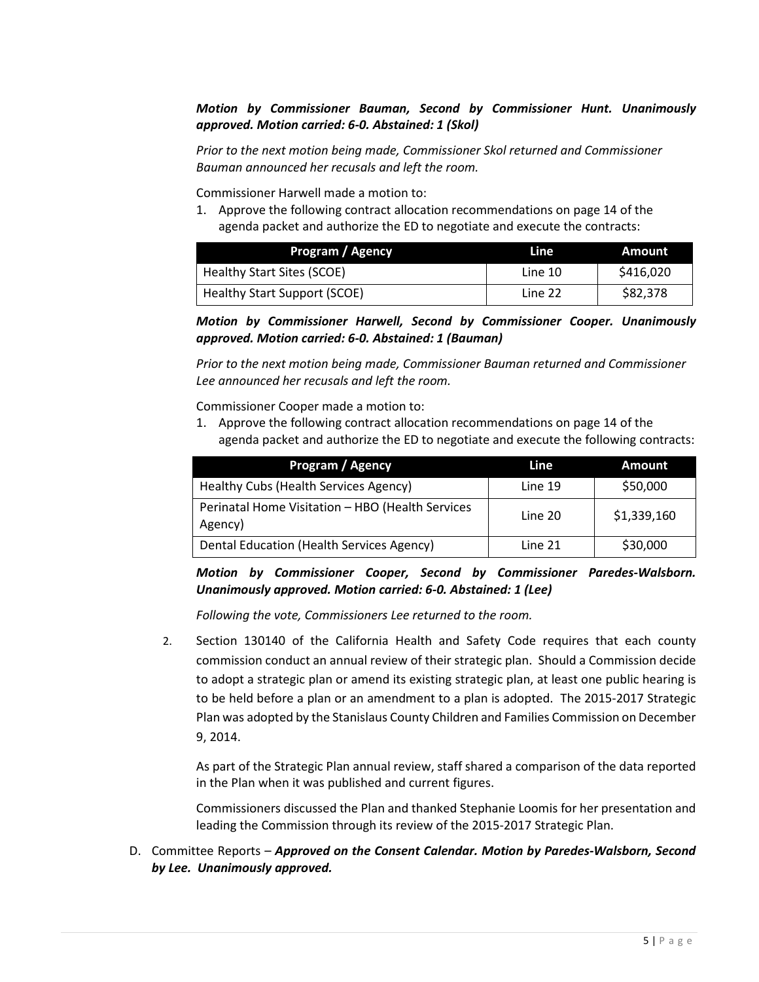### *Motion by Commissioner Bauman, Second by Commissioner Hunt. Unanimously approved. Motion carried: 6-0. Abstained: 1 (Skol)*

*Prior to the next motion being made, Commissioner Skol returned and Commissioner Bauman announced her recusals and left the room.* 

Commissioner Harwell made a motion to:

1. Approve the following contract allocation recommendations on page 14 of the agenda packet and authorize the ED to negotiate and execute the contracts:

| <b>Program / Agency</b>      | Line    | Amount    |
|------------------------------|---------|-----------|
| Healthy Start Sites (SCOE)   | Line 10 | \$416,020 |
| Healthy Start Support (SCOE) | Line 22 | \$82,378  |

*Motion by Commissioner Harwell, Second by Commissioner Cooper. Unanimously approved. Motion carried: 6-0. Abstained: 1 (Bauman)* 

*Prior to the next motion being made, Commissioner Bauman returned and Commissioner Lee announced her recusals and left the room.* 

Commissioner Cooper made a motion to:

1. Approve the following contract allocation recommendations on page 14 of the agenda packet and authorize the ED to negotiate and execute the following contracts:

| <b>Program / Agency</b>                                     | Line    | <b>Amount</b> |
|-------------------------------------------------------------|---------|---------------|
| Healthy Cubs (Health Services Agency)                       | Line 19 | \$50,000      |
| Perinatal Home Visitation - HBO (Health Services<br>Agency) | Line 20 | \$1,339,160   |
| Dental Education (Health Services Agency)                   | Line 21 | \$30,000      |

*Motion by Commissioner Cooper, Second by Commissioner Paredes-Walsborn. Unanimously approved. Motion carried: 6-0. Abstained: 1 (Lee)* 

*Following the vote, Commissioners Lee returned to the room.* 

2. Section 130140 of the California Health and Safety Code requires that each county commission conduct an annual review of their strategic plan. Should a Commission decide to adopt a strategic plan or amend its existing strategic plan, at least one public hearing is to be held before a plan or an amendment to a plan is adopted. The 2015-2017 Strategic Plan was adopted by the Stanislaus County Children and Families Commission on December 9, 2014.

As part of the Strategic Plan annual review, staff shared a comparison of the data reported in the Plan when it was published and current figures.

Commissioners discussed the Plan and thanked Stephanie Loomis for her presentation and leading the Commission through its review of the 2015-2017 Strategic Plan.

D. Committee Reports – *Approved on the Consent Calendar. Motion by Paredes-Walsborn, Second by Lee. Unanimously approved.*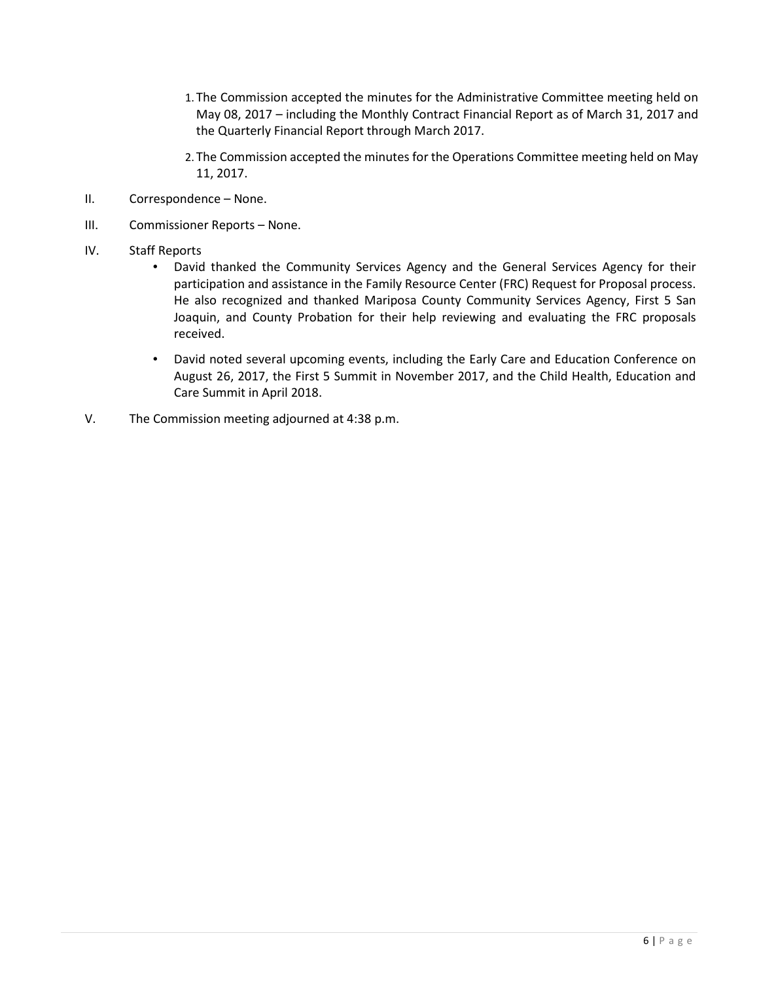- 1. The Commission accepted the minutes for the Administrative Committee meeting held on May 08, 2017 – including the Monthly Contract Financial Report as of March 31, 2017 and the Quarterly Financial Report through March 2017.
- 2. The Commission accepted the minutes for the Operations Committee meeting held on May 11, 2017.
- II. Correspondence None.
- III. Commissioner Reports None.
- IV. Staff Reports
	- David thanked the Community Services Agency and the General Services Agency for their participation and assistance in the Family Resource Center (FRC) Request for Proposal process. He also recognized and thanked Mariposa County Community Services Agency, First 5 San Joaquin, and County Probation for their help reviewing and evaluating the FRC proposals received.
	- David noted several upcoming events, including the Early Care and Education Conference on August 26, 2017, the First 5 Summit in November 2017, and the Child Health, Education and Care Summit in April 2018.
- V. The Commission meeting adjourned at 4:38 p.m.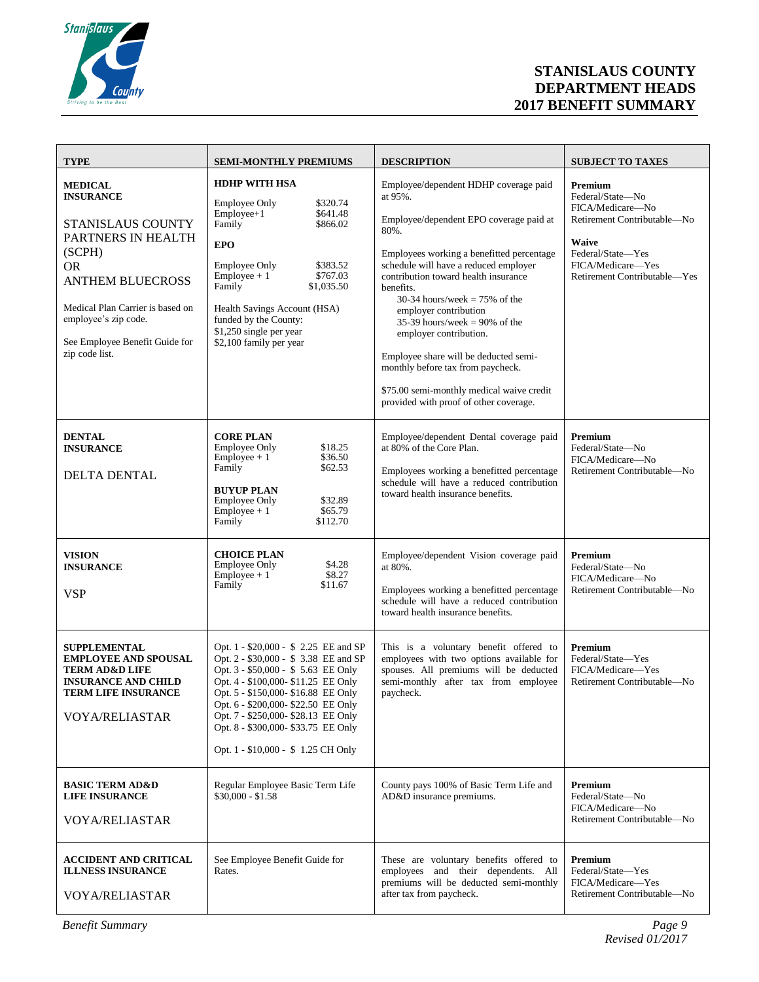

## **STANISLAUS COUNTY DEPARTMENT HEADS 2017 BENEFIT SUMMARY**

| <b>TYPE</b>                                                                                                                                                                                                                                     | <b>SEMI-MONTHLY PREMIUMS</b>                                                                                                                                                                                                                                                                                                                                 | <b>DESCRIPTION</b>                                                                                                                                                                                                                                                                                                                                                                                                                                                                                                                            | <b>SUBJECT TO TAXES</b>                                                                                                                                                  |
|-------------------------------------------------------------------------------------------------------------------------------------------------------------------------------------------------------------------------------------------------|--------------------------------------------------------------------------------------------------------------------------------------------------------------------------------------------------------------------------------------------------------------------------------------------------------------------------------------------------------------|-----------------------------------------------------------------------------------------------------------------------------------------------------------------------------------------------------------------------------------------------------------------------------------------------------------------------------------------------------------------------------------------------------------------------------------------------------------------------------------------------------------------------------------------------|--------------------------------------------------------------------------------------------------------------------------------------------------------------------------|
| <b>MEDICAL</b><br><b>INSURANCE</b><br>STANISLAUS COUNTY<br>PARTNERS IN HEALTH<br>(SCPH)<br><b>OR</b><br><b>ANTHEM BLUECROSS</b><br>Medical Plan Carrier is based on<br>employee's zip code.<br>See Employee Benefit Guide for<br>zip code list. | <b>HDHP WITH HSA</b><br>\$320.74<br><b>Employee Only</b><br>\$641.48<br>$Emplovee+1$<br>Family<br>\$866.02<br><b>EPO</b><br><b>Employee Only</b><br>\$383.52<br>\$767.03<br>$Employee + 1$<br>Family<br>\$1,035.50<br>Health Savings Account (HSA)<br>funded by the County:<br>\$1,250 single per year<br>\$2,100 family per year                            | Employee/dependent HDHP coverage paid<br>at 95%.<br>Employee/dependent EPO coverage paid at<br>80%.<br>Employees working a benefitted percentage<br>schedule will have a reduced employer<br>contribution toward health insurance<br>benefits.<br>$30-34$ hours/week = 75% of the<br>employer contribution<br>35-39 hours/week = $90\%$ of the<br>employer contribution.<br>Employee share will be deducted semi-<br>monthly before tax from paycheck.<br>\$75.00 semi-monthly medical waive credit<br>provided with proof of other coverage. | Premium<br>Federal/State-No<br>FICA/Medicare-No<br>Retirement Contributable-No<br><b>Waive</b><br>Federal/State-Yes<br>FICA/Medicare-Yes<br>Retirement Contributable-Yes |
| <b>DENTAL</b><br><b>INSURANCE</b><br><b>DELTA DENTAL</b>                                                                                                                                                                                        | <b>CORE PLAN</b><br>\$18.25<br><b>Employee Only</b><br>\$36.50<br>$Employee + 1$<br>\$62.53<br>Family<br><b>BUYUP PLAN</b><br>\$32.89<br><b>Employee Only</b><br>\$65.79<br>$Employee + 1$<br>Family<br>\$112.70                                                                                                                                             | Employee/dependent Dental coverage paid<br>at 80% of the Core Plan.<br>Employees working a benefitted percentage<br>schedule will have a reduced contribution<br>toward health insurance benefits.                                                                                                                                                                                                                                                                                                                                            | Premium<br>Federal/State-No<br>FICA/Medicare-No<br>Retirement Contributable-No                                                                                           |
| <b>VISION</b><br><b>INSURANCE</b><br><b>VSP</b>                                                                                                                                                                                                 | <b>CHOICE PLAN</b><br>\$4.28<br><b>Employee Only</b><br>\$8.27<br>$Employee + 1$<br>Family<br>\$11.67                                                                                                                                                                                                                                                        | Employee/dependent Vision coverage paid<br>at 80%.<br>Employees working a benefitted percentage<br>schedule will have a reduced contribution<br>toward health insurance benefits.                                                                                                                                                                                                                                                                                                                                                             | Premium<br>Federal/State-No<br>FICA/Medicare-No<br>Retirement Contributable-No                                                                                           |
| <b>SUPPLEMENTAL</b><br><b>EMPLOYEE AND SPOUSAL</b><br><b>TERM AD&amp;D LIFE</b><br><b>INSURANCE AND CHILD</b><br><b>TERM LIFE INSURANCE</b><br><b>VOYA/RELIASTAR</b>                                                                            | Opt. 1 - \$20,000 - \$ 2.25 EE and SP<br>Opt. 2 - \$30,000 - \$3.38 EE and SP<br>Opt. 3 - \$50,000 - \$5.63 EE Only<br>Opt. 4 - \$100,000- \$11.25 EE Only<br>Opt. 5 - \$150,000- \$16.88 EE Only<br>Opt. 6 - \$200,000- \$22.50 EE Only<br>Opt. 7 - \$250,000- \$28.13 EE Only<br>Opt. 8 - \$300,000- \$33.75 EE Only<br>Opt. 1 - \$10,000 - \$1.25 CH Only | This is a voluntary benefit offered to<br>employees with two options available for<br>spouses. All premiums will be deducted<br>semi-monthly after tax from employee<br>paycheck.                                                                                                                                                                                                                                                                                                                                                             | Premium<br>Federal/State-Yes<br>FICA/Medicare-Yes<br>Retirement Contributable-No                                                                                         |
| <b>BASIC TERM AD&amp;D</b><br><b>LIFE INSURANCE</b><br><b>VOYA/RELIASTAR</b>                                                                                                                                                                    | Regular Employee Basic Term Life<br>$$30,000 - $1.58$                                                                                                                                                                                                                                                                                                        | County pays 100% of Basic Term Life and<br>AD&D insurance premiums.                                                                                                                                                                                                                                                                                                                                                                                                                                                                           | Premium<br>Federal/State-No<br>FICA/Medicare-No<br>Retirement Contributable-No                                                                                           |
| ACCIDENT AND CRITICAL<br><b>ILLNESS INSURANCE</b><br><b>VOYA/RELIASTAR</b>                                                                                                                                                                      | See Employee Benefit Guide for<br>Rates.                                                                                                                                                                                                                                                                                                                     | These are voluntary benefits offered to<br>employees and their dependents. All<br>premiums will be deducted semi-monthly<br>after tax from paycheck.                                                                                                                                                                                                                                                                                                                                                                                          | Premium<br>Federal/State-Yes<br>FICA/Medicare-Yes<br>Retirement Contributable-No                                                                                         |